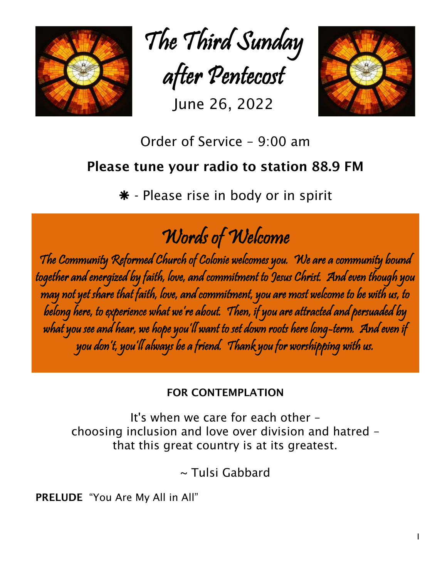

The Third Sunday after Pentecost

June 26, 2022



## Order of Service – 9:00 am

### Please tune your radio to station 88.9 FM

\* - Please rise in body or in spirit

# Words of Welcome

The Community Reformed Church of Colonie welcomes you. We are a community bound together and energized by faith, love, and commitment to Jesus Christ. And even though you may not yet share that faith, love, and commitment, you are most welcome to be with us, to belong here, to experience what we're about. Then, if you are attracted and persuaded by what you see and hear, we hope you'll want to set down roots here long-term. And even if you don't, you'll always be a friend. Thank you for worshipping with us.

### FOR CONTEMPLATION

It's when we care for each other – choosing inclusion and love over division and hatred – that this great country is at its greatest.

~ Tulsi Gabbard

PRELUDE "You Are My All in All"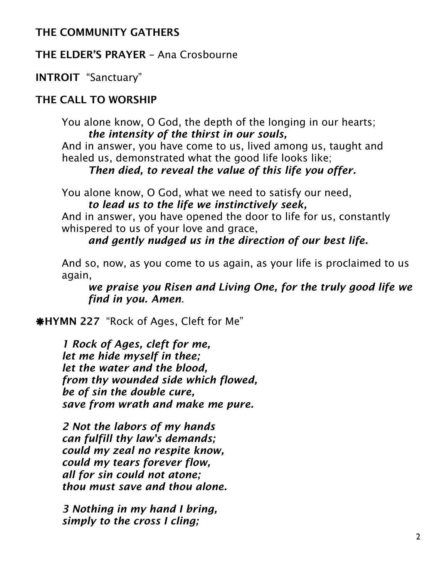### THE COMMUNITY GATHERS

### THE ELDER'S PRAYER – Ana Crosbourne

INTROIT "Sanctuary"

### THE CALL TO WORSHIP

You alone know, O God, the depth of the longing in our hearts; *the intensity of the thirst in our souls,*

And in answer, you have come to us, lived among us, taught and healed us, demonstrated what the good life looks like;

*Then died, to reveal the value of this life you offer.*

You alone know, O God, what we need to satisfy our need, *to lead us to the life we instinctively seek,*

And in answer, you have opened the door to life for us, constantly whispered to us of your love and grace,

*and gently nudged us in the direction of our best life.*

And so, now, as you come to us again, as your life is proclaimed to us again,

*we praise you Risen and Living One, for the truly good life we find in you. Amen*.

HYMN 227 "Rock of Ages, Cleft for Me"

*1 Rock of Ages, cleft for me, let me hide myself in thee; let the water and the blood, from thy wounded side which flowed, be of sin the double cure, save from wrath and make me pure.*

*2 Not the labors of my hands can fulfill thy law's demands; could my zeal no respite know, could my tears forever flow, all for sin could not atone; thou must save and thou alone.*

*3 Nothing in my hand I bring, simply to the cross I cling;*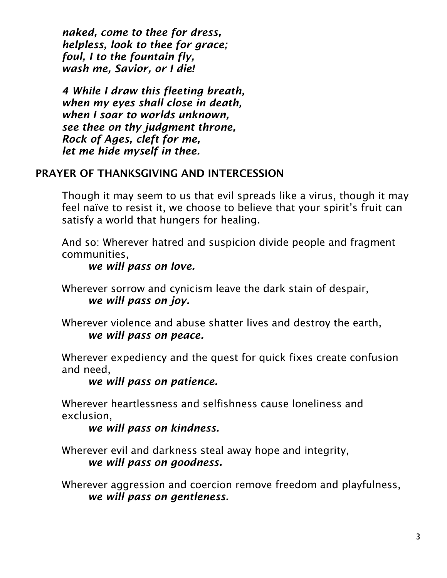*naked, come to thee for dress, helpless, look to thee for grace; foul, I to the fountain fly, wash me, Savior, or I die!*

*4 While I draw this fleeting breath, when my eyes shall close in death, when I soar to worlds unknown, see thee on thy judgment throne, Rock of Ages, cleft for me, let me hide myself in thee.*

### PRAYER OF THANKSGIVING AND INTERCESSION

Though it may seem to us that evil spreads like a virus, though it may feel naïve to resist it, we choose to believe that your spirit's fruit can satisfy a world that hungers for healing.

And so: Wherever hatred and suspicion divide people and fragment communities,

*we will pass on love.*

Wherever sorrow and cynicism leave the dark stain of despair, *we will pass on joy.*

Wherever violence and abuse shatter lives and destroy the earth, *we will pass on peace.*

Wherever expediency and the quest for quick fixes create confusion and need,

*we will pass on patience.*

Wherever heartlessness and selfishness cause loneliness and exclusion,

*we will pass on kindness.*

Wherever evil and darkness steal away hope and integrity, *we will pass on goodness.*

Wherever aggression and coercion remove freedom and playfulness, *we will pass on gentleness.*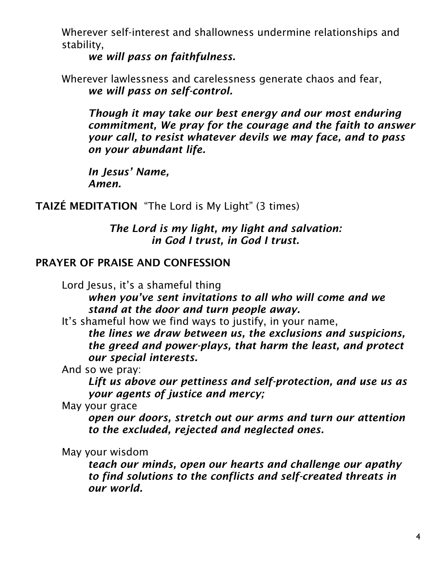Wherever self-interest and shallowness undermine relationships and stability,

*we will pass on faithfulness.*

Wherever lawlessness and carelessness generate chaos and fear, *we will pass on self-control.*

*Though it may take our best energy and our most enduring commitment, We pray for the courage and the faith to answer your call, to resist whatever devils we may face, and to pass on your abundant life.*

*In Jesus' Name, Amen.*

TAIZÉ MEDITATION "The Lord is My Light" (3 times)

*The Lord is my light, my light and salvation: in God I trust, in God I trust.*

### PRAYER OF PRAISE AND CONFESSION

Lord Jesus, it's a shameful thing

*when you've sent invitations to all who will come and we stand at the door and turn people away.*

It's shameful how we find ways to justify, in your name,

*the lines we draw between us, the exclusions and suspicions, the greed and power-plays, that harm the least, and protect our special interests.*

And so we pray:

*Lift us above our pettiness and self-protection, and use us as your agents of justice and mercy;*

May your grace

*open our doors, stretch out our arms and turn our attention to the excluded, rejected and neglected ones.*

May your wisdom

*teach our minds, open our hearts and challenge our apathy to find solutions to the conflicts and self-created threats in our world.*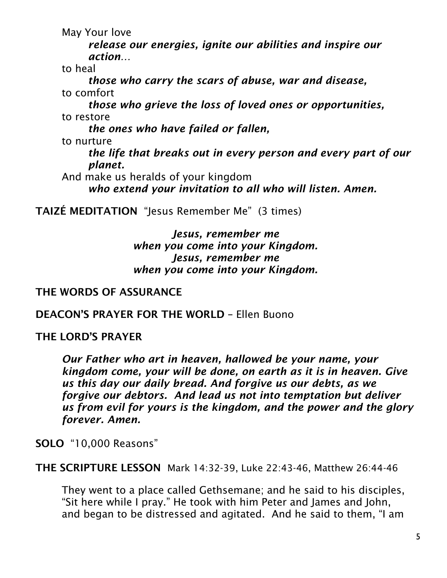May Your love

*release our energies, ignite our abilities and inspire our action…*

to heal

*those who carry the scars of abuse, war and disease,* to comfort

*those who grieve the loss of loved ones or opportunities,* to restore

*the ones who have failed or fallen,*

to nurture

*the life that breaks out in every person and every part of our planet.*

And make us heralds of your kingdom

*who extend your invitation to all who will listen. Amen.*

TAIZÉ MEDITATION "Jesus Remember Me" (3 times)

*Jesus, remember me when you come into your Kingdom. Jesus, remember me when you come into your Kingdom.*

THE WORDS OF ASSURANCE

DEACON'S PRAYER FOR THE WORLD – Ellen Buono

THE LORD'S PRAYER

*Our Father who art in heaven, hallowed be your name, your kingdom come, your will be done, on earth as it is in heaven. Give us this day our daily bread. And forgive us our debts, as we forgive our debtors. And lead us not into temptation but deliver us from evil for yours is the kingdom, and the power and the glory forever. Amen.*

SOLO "10,000 Reasons"

THE SCRIPTURE LESSON Mark 14:32-39, Luke 22:43-46, Matthew 26:44-46

They went to a place called Gethsemane; and he said to his disciples, "Sit here while I pray." He took with him Peter and James and John, and began to be distressed and agitated. And he said to them, "I am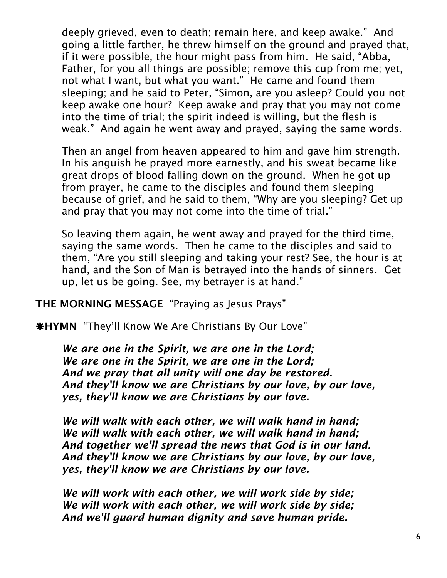deeply grieved, even to death; remain here, and keep awake." And going a little farther, he threw himself on the ground and prayed that, if it were possible, the hour might pass from him. He said, "Abba, Father, for you all things are possible; remove this cup from me; yet, not what I want, but what you want." He came and found them sleeping; and he said to Peter, "Simon, are you asleep? Could you not keep awake one hour? Keep awake and pray that you may not come into the time of trial; the spirit indeed is willing, but the flesh is weak." And again he went away and prayed, saying the same words.

Then an angel from heaven appeared to him and gave him strength. In his anguish he prayed more earnestly, and his sweat became like great drops of blood falling down on the ground. When he got up from prayer, he came to the disciples and found them sleeping because of grief, and he said to them, "Why are you sleeping? Get up and pray that you may not come into the time of trial."

So leaving them again, he went away and prayed for the third time, saying the same words. Then he came to the disciples and said to them, "Are you still sleeping and taking your rest? See, the hour is at hand, and the Son of Man is betrayed into the hands of sinners. Get up, let us be going. See, my betrayer is at hand."

THE MORNING MESSAGE "Praying as Jesus Prays"

**\*HYMN** "They'll Know We Are Christians By Our Love"

*We are one in the Spirit, we are one in the Lord; We are one in the Spirit, we are one in the Lord; And we pray that all unity will one day be restored. And they'll know we are Christians by our love, by our love, yes, they'll know we are Christians by our love.*

*We will walk with each other, we will walk hand in hand; We will walk with each other, we will walk hand in hand; And together we'll spread the news that God is in our land. And they'll know we are Christians by our love, by our love, yes, they'll know we are Christians by our love.*

*We will work with each other, we will work side by side; We will work with each other, we will work side by side; And we'll guard human dignity and save human pride.*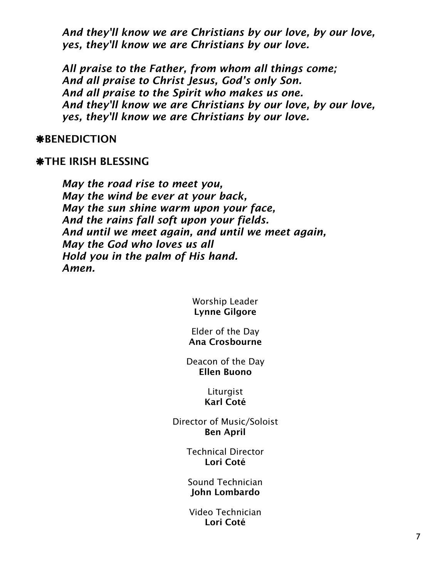*And they'll know we are Christians by our love, by our love, yes, they'll know we are Christians by our love.*

*All praise to the Father, from whom all things come; And all praise to Christ Jesus, God's only Son. And all praise to the Spirit who makes us one. And they'll know we are Christians by our love, by our love, yes, they'll know we are Christians by our love.*

#### **\*BENEDICTION**

### **\*THE IRISH BLESSING**

*May the road rise to meet you, May the wind be ever at your back, May the sun shine warm upon your face, And the rains fall soft upon your fields. And until we meet again, and until we meet again, May the God who loves us all Hold you in the palm of His hand. Amen.*

> Worship Leader Lynne Gilgore

Elder of the Day Ana Crosbourne

Deacon of the Day Ellen Buono

> Liturgist Karl Coté

Director of Music/Soloist Ben April

> Technical Director Lori Coté

Sound Technician John Lombardo

Video Technician Lori Coté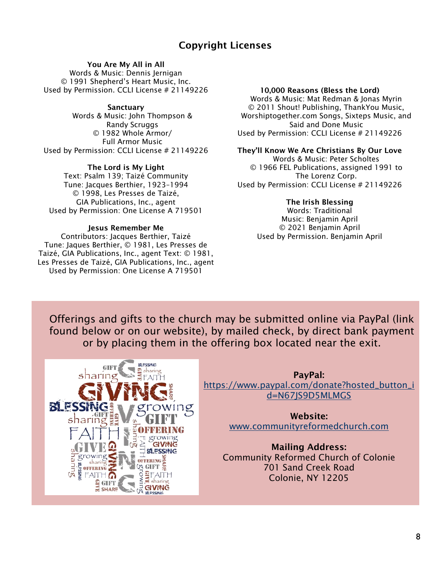### Copyright Licenses

#### You Are My All in All

Words & Music: Dennis Jernigan © 1991 Shepherd's Heart Music, Inc. Used by Permission. CCLI License # 21149226

#### **Sanctuary**

Words & Music: John Thompson & Randy Scruggs © 1982 Whole Armor/ Full Armor Music Used by Permission: CCLI License # 21149226

#### The Lord is My Light

Text: Psalm 139; Taizé Community Tune: Jacques Berthier, 1923–1994 © 1998, Les Presses de Taizé, GIA Publications, Inc., agent Used by Permission: One License A 719501

#### Jesus Remember Me

Contributors: Jacques Berthier, Taizé Tune: Jaques Berthier, © 1981, Les Presses de Taizé, GIA Publications, Inc., agent Text: © 1981, Les Presses de Taizé, GIA Publications, Inc., agent Used by Permission: One License A 719501

#### 10,000 Reasons (Bless the Lord)

Words & Music: Mat Redman & Jonas Myrin © 2011 Shout! Publishing, ThankYou Music, Worshiptogether.com Songs, Sixteps Music, and Said and Done Music Used by Permission: CCLI License # 21149226

#### They'll Know We Are Christians By Our Love Words & Music: Peter Scholtes

© 1966 FEL Publications, assigned 1991 to The Lorenz Corp. Used by Permission: CCLI License # 21149226

#### The Irish Blessing

Words: Traditional Music: Benjamin April © 2021 Benjamin April Used by Permission. Benjamin April

Offerings and gifts to the church may be submitted online via PayPal (link found below or on our website), by mailed check, by direct bank payment or by placing them in the offering box located near the exit.



PayPal: [https://www.paypal.com/donate?hosted\\_button\\_i](https://www.paypal.com/donate?hosted_button_id=N67JS9D5MLMGS) [d=N67JS9D5MLMGS](https://www.paypal.com/donate?hosted_button_id=N67JS9D5MLMGS)

> Website: [www.communityreformedchurch.com](http://www.communityreformedchurch.com/)

Mailing Address: Community Reformed Church of Colonie 701 Sand Creek Road Colonie, NY 12205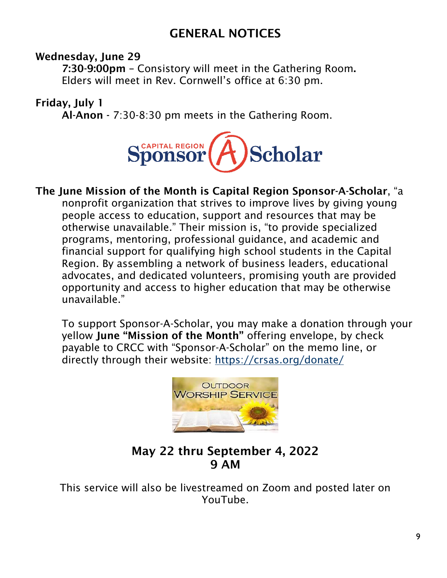### GENERAL NOTICES

### Wednesday, June 29

7:30-9:00pm – Consistory will meet in the Gathering Room. Elders will meet in Rev. Cornwell's office at 6:30 pm.

Friday, July 1

Al-Anon - 7:30-8:30 pm meets in the Gathering Room.



The June Mission of the Month is Capital Region Sponsor-A-Scholar, "a nonprofit organization that strives to improve lives by giving young people access to education, support and resources that may be otherwise unavailable." Their mission is, "to provide specialized programs, mentoring, professional guidance, and academic and financial support for qualifying high school students in the Capital Region. By assembling a network of business leaders, educational advocates, and dedicated volunteers, promising youth are provided opportunity and access to higher education that may be otherwise unavailable."

To support Sponsor-A-Scholar, you may make a donation through your yellow June "Mission of the Month" offering envelope, by check payable to CRCC with "Sponsor-A-Scholar" on the memo line, or directly through their website:<https://crsas.org/donate/>



### May 22 thru September 4, 2022 9 AM

This service will also be livestreamed on Zoom and posted later on YouTube.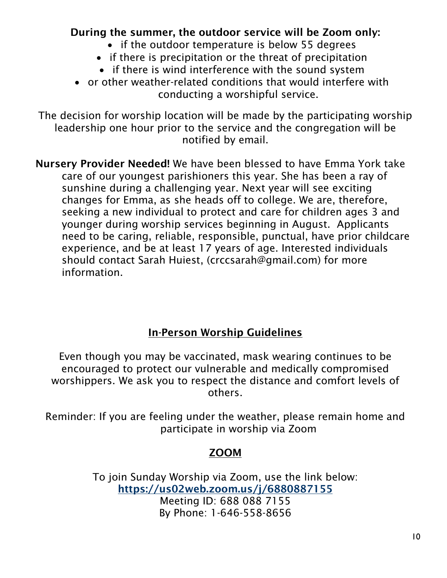During the summer, the outdoor service will be Zoom only:

- if the outdoor temperature is below 55 degrees
- if there is precipitation or the threat of precipitation
- if there is wind interference with the sound system
- or other weather-related conditions that would interfere with conducting a worshipful service.

The decision for worship location will be made by the participating worship leadership one hour prior to the service and the congregation will be notified by email.

Nursery Provider Needed! We have been blessed to have Emma York take care of our youngest parishioners this year. She has been a ray of sunshine during a challenging year. Next year will see exciting changes for Emma, as she heads off to college. We are, therefore, seeking a new individual to protect and care for children ages 3 and younger during worship services beginning in August. Applicants need to be caring, reliable, responsible, punctual, have prior childcare experience, and be at least 17 years of age. Interested individuals should contact Sarah Huiest, (crccsarah@gmail.com) for more information.

### In-Person Worship Guidelines

Even though you may be vaccinated, mask wearing continues to be encouraged to protect our vulnerable and medically compromised worshippers. We ask you to respect the distance and comfort levels of others.

Reminder: If you are feeling under the weather, please remain home and participate in worship via Zoom

### ZOOM

To join Sunday Worship via Zoom, use the link below: <https://us02web.zoom.us/j/6880887155>

Meeting ID: 688 088 7155 By Phone: 1-646-558-8656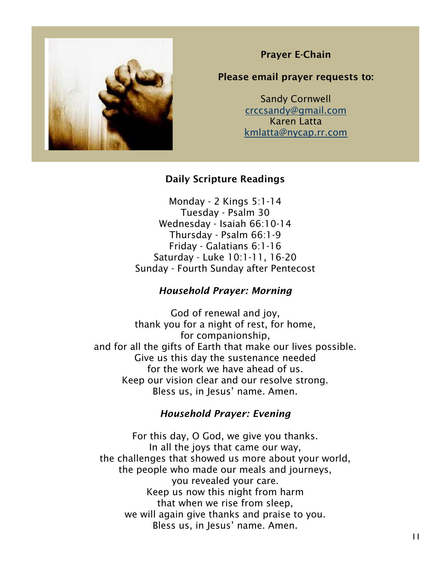

Prayer E-Chain

#### Please email prayer requests to:

Sandy Cornwell [crccsandy@gmail.com](mailto:crccsandy@gmail.com) Karen Latta [kmlatta@nycap.rr.com](mailto:kmlatta@nycap.rr.com)

### Daily Scripture Readings

Monday - 2 Kings 5:1-14 Tuesday - Psalm 30 Wednesday - Isaiah 66:10-14 Thursday - Psalm 66:1-9 Friday - Galatians 6:1-16 Saturday - Luke 10:1-11, 16-20 Sunday - Fourth Sunday after Pentecost

#### *Household Prayer: Morning*

God of renewal and joy, thank you for a night of rest, for home, for companionship, and for all the gifts of Earth that make our lives possible. Give us this day the sustenance needed for the work we have ahead of us. Keep our vision clear and our resolve strong. Bless us, in Jesus' name. Amen.

### *Household Prayer: Evening*

For this day, O God, we give you thanks. In all the joys that came our way, the challenges that showed us more about your world, the people who made our meals and journeys, you revealed your care. Keep us now this night from harm that when we rise from sleep, we will again give thanks and praise to you. Bless us, in Jesus' name. Amen.